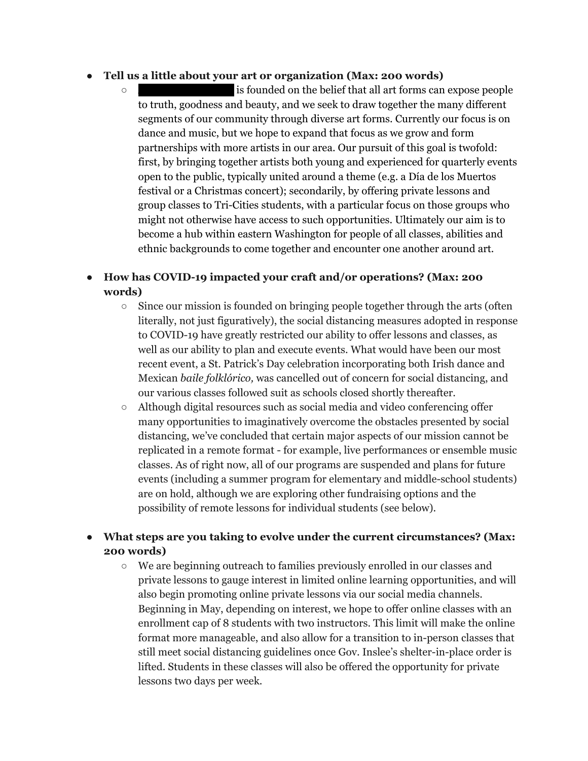## **● Tell us a little about your art or organization (Max: 200 words)**

 $\circ$  is founded on the belief that all art forms can expose people to truth, goodness and beauty, and we seek to draw together the many different segments of our community through diverse art forms. Currently our focus is on dance and music, but we hope to expand that focus as we grow and form partnerships with more artists in our area. Our pursuit of this goal is twofold: first, by bringing together artists both young and experienced for quarterly events open to the public, typically united around a theme (e.g. a Día de los Muertos festival or a Christmas concert); secondarily, by offering private lessons and group classes to Tri-Cities students, with a particular focus on those groups who might not otherwise have access to such opportunities. Ultimately our aim is to become a hub within eastern Washington for people of all classes, abilities and ethnic backgrounds to come together and encounter one another around art.

## **● How has COVID-19 impacted your craft and/or operations? (Max: 200 words)**

- Since our mission is founded on bringing people together through the arts (often literally, not just figuratively), the social distancing measures adopted in response to COVID-19 have greatly restricted our ability to offer lessons and classes, as well as our ability to plan and execute events. What would have been our most recent event, a St. Patrick's Day celebration incorporating both Irish dance and Mexican *baile folklórico,* was cancelled out of concern for social distancing, and our various classes followed suit as schools closed shortly thereafter.
- Although digital resources such as social media and video conferencing offer many opportunities to imaginatively overcome the obstacles presented by social distancing, we've concluded that certain major aspects of our mission cannot be replicated in a remote format - for example, live performances or ensemble music classes. As of right now, all of our programs are suspended and plans for future events (including a summer program for elementary and middle-school students) are on hold, although we are exploring other fundraising options and the possibility of remote lessons for individual students (see below).

## **● What steps are you taking to evolve under the current circumstances? (Max: 200 words)**

○ We are beginning outreach to families previously enrolled in our classes and private lessons to gauge interest in limited online learning opportunities, and will also begin promoting online private lessons via our social media channels. Beginning in May, depending on interest, we hope to offer online classes with an enrollment cap of 8 students with two instructors. This limit will make the online format more manageable, and also allow for a transition to in-person classes that still meet social distancing guidelines once Gov. Inslee's shelter-in-place order is lifted. Students in these classes will also be offered the opportunity for private lessons two days per week.